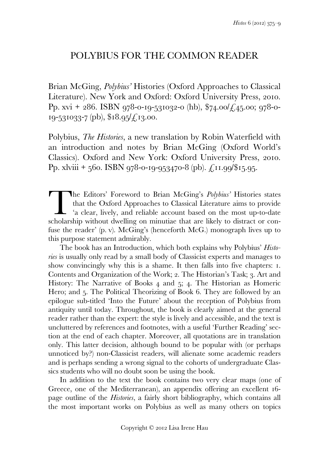## POLYBIUS FOR THE COMMON READER

Brian McGing, *Polybius'* Histories (Oxford Approaches to Classical Literature). New York and Oxford: Oxford University Press, 2010. Pp. xvi + 286. ISBN 978-0-19-531032-0 (hb),  $\frac{274.00}{24.300}$ ; 978-0- $19-531033-7$  (pb),  $18.95/\text{\textsterling}13.00$ .

Polybius, *The Histories*, a new translation by Robin Waterfield with an introduction and notes by Brian McGing (Oxford World's Classics). Oxford and New York: Oxford University Press, 2010. Pp. xlviii + 560. ISBN 978-0-19-953470-8 (pb).  $\mathcal{L}$ ,11.99/\$15.95.

The Editors' Foreword to Brian McGing's *Polybius'* Histories states that the Oxford Approaches to Classical Literature aims to provide 'a clear, lively, and reliable account based on the most up-to-date scholarship withou that the Oxford Approaches to Classical Literature aims to provide 'a clear, lively, and reliable account based on the most up-to-date scholarship without dwelling on minutiae that are likely to distract or confuse the reader' (p. v). McGing's (henceforth McG.) monograph lives up to this purpose statement admirably.

 The book has an Introduction, which both explains why Polybius' *Histories* is usually only read by a small body of Classicist experts and manages to show convincingly why this is a shame. It then falls into five chapters:  $I$ . Contents and Organization of the Work; 2. The Historian's Task; 3. Art and History: The Narrative of Books  $4$  and  $5$ ;  $4$ . The Historian as Homeric Hero; and 5. The Political Theorizing of Book 6. They are followed by an epilogue sub-titled 'Into the Future' about the reception of Polybius from antiquity until today. Throughout, the book is clearly aimed at the general reader rather than the expert: the style is lively and accessible, and the text is uncluttered by references and footnotes, with a useful 'Further Reading' section at the end of each chapter. Moreover, all quotations are in translation only. This latter decision, although bound to be popular with (or perhaps unnoticed by?) non-Classicist readers, will alienate some academic readers and is perhaps sending a wrong signal to the cohorts of undergraduate Classics students who will no doubt soon be using the book.

 In addition to the text the book contains two very clear maps (one of Greece, one of the Mediterranean), an appendix offering an excellent  $16$ page outline of the *Histories*, a fairly short bibliography, which contains all the most important works on Polybius as well as many others on topics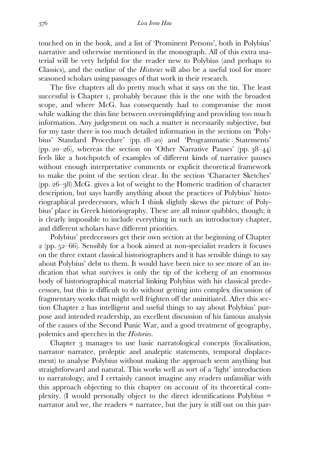touched on in the book, and a list of 'Prominent Persons', both in Polybius' narrative and otherwise mentioned in the monograph. All of this extra material will be very helpful for the reader new to Polybius (and perhaps to Classics), and the outline of the *Histories* will also be a useful tool for more seasoned scholars using passages of that work in their research.

 The five chapters all do pretty much what it says on the tin. The least successful is Chapter 1, probably because this is the one with the broadest scope, and where McG. has consequently had to compromise the most while walking the thin line between oversimplifying and providing too much information. Any judgement on such a matter is necessarily subjective, but for my taste there is too much detailed information in the sections on 'Polybius' Standard Procedure' (pp. 18–20) and 'Programmatic Statements' (pp. 20–26), whereas the section on 'Other Narrative Pauses' (pp.  $38-44$ ) feels like a hotchpotch of examples of different kinds of narrative pauses without enough interpretative comments or explicit theoretical framework to make the point of the section clear. In the section 'Character Sketches' (pp.  $26-38$ ) McG, gives a lot of weight to the Homeric tradition of character description, but says hardly anything about the practices of Polybius' historiographical predecessors, which I think slightly skews the picture of Polybius' place in Greek historiography. These are all minor quibbles, though; it is clearly impossible to include everything in such an introductory chapter, and different scholars have different priorities.

 Polybius' predecessors get their own section at the beginning of Chapter  $\alpha$  (pp. 52–66). Sensibly for a book aimed at non-specialist readers it focuses on the three extant classical historiographers and it has sensible things to say about Polybius' debt to them. It would have been nice to see more of an indication that what survives is only the tip of the iceberg of an enormous body of historiographical material linking Polybius with his classical predecessors, but this is difficult to do without getting into complex discussion of fragmentary works that might well frighten off the uninitiated. After this section Chapter 2 has intelligent and useful things to say about Polybius' purpose and intended readership, an excellent discussion of his famous analysis of the causes of the Second Punic War, and a good treatment of geography, polemics and speeches in the *Histories*.

Chapter 3 manages to use basic narratological concepts (focalisation, narrator–narratee, proleptic and analeptic statements, temporal displacement) to analyse Polybius without making the approach seem anything but straightforward and natural. This works well as sort of a 'light' introduction to narratology, and I certainly cannot imagine any readers unfamiliar with this approach objecting to this chapter on account of its theoretical complexity. (I would personally object to the direct identifications Polybius = narrator and we, the readers = narratee, but the jury is still out on this par-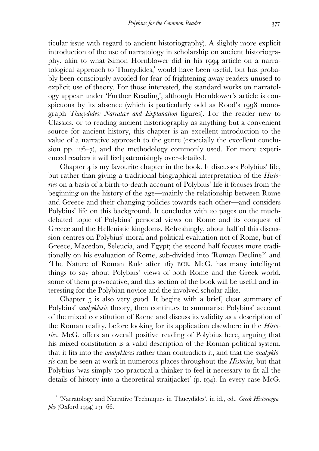ticular issue with regard to ancient historiography). A slightly more explicit introduction of the use of narratology in scholarship on ancient historiography, akin to what Simon Hornblower did in his 1994 article on a narratological approach to Thucydides, would have been useful, but has probably been consciously avoided for fear of frightening away readers unused to explicit use of theory. For those interested, the standard works on narratology appear under 'Further Reading', although Hornblower's article is conspicuous by its absence (which is particularly odd as Rood's 1998 monograph *Thucydides: Narrative and Explanation* figures). For the reader new to Classics, or to reading ancient historiography as anything but a convenient source for ancient history, this chapter is an excellent introduction to the value of a narrative approach to the genre (especially the excellent conclusion pp.  $126-7$ , and the methodology commonly used. For more experienced readers it will feel patronisingly over-detailed.

Chapter  $\alpha$  is my favourite chapter in the book. It discusses Polybius' life, but rather than giving a traditional biographical interpretation of the *Histories* on a basis of a birth-to-death account of Polybius' life it focuses from the beginning on the history of the age—mainly the relationship between Rome and Greece and their changing policies towards each other—and considers Polybius' life on this background. It concludes with 20 pages on the muchdebated topic of Polybius' personal views on Rome and its conquest of Greece and the Hellenistic kingdoms. Refreshingly, about half of this discussion centres on Polybius' moral and political evaluation not of Rome, but of Greece, Macedon, Seleucia, and Egypt; the second half focuses more traditionally on his evaluation of Rome, sub-divided into 'Roman Decline?' and 'The Nature of Roman Rule after 167 BCE. McG. has many intelligent things to say about Polybius' views of both Rome and the Greek world, some of them provocative, and this section of the book will be useful and interesting for the Polybian novice and the involved scholar alike.

Chapter  $5$  is also very good. It begins with a brief, clear summary of Polybius' *anakyklosis* theory, then continues to summarise Polybius' account of the mixed constitution of Rome and discuss its validity as a description of the Roman reality, before looking for its application elsewhere in the *Histories*. McG. offers an overall positive reading of Polybius here, arguing that his mixed constitution is a valid description of the Roman political system, that it fits into the *anakyklosis* rather than contradicts it, and that the *anakyklosis* can be seen at work in numerous places throughout the *Histories,* but that Polybius 'was simply too practical a thinker to feel it necessary to fit all the details of history into a theoretical straitjacket'  $(p. q4)$ . In every case McG.

 $\overline{a}$ 

<sup>&</sup>lt;sup>1</sup> 'Narratology and Narrative Techniques in Thucydides', in id., ed., *Greek Historiogra* $phy$  (Oxford 1994) 131–66.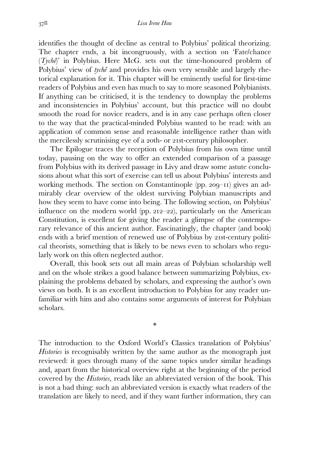identifies the thought of decline as central to Polybius' political theorizing. The chapter ends, a bit incongruously, with a section on 'Fate/chance (*Tychê*)' in Polybius. Here McG. sets out the time-honoured problem of Polybius' view of *tychê* and provides his own very sensible and largely rhetorical explanation for it. This chapter will be eminently useful for first-time readers of Polybius and even has much to say to more seasoned Polybianists. If anything can be criticised, it is the tendency to downplay the problems and inconsistencies in Polybius' account, but this practice will no doubt smooth the road for novice readers, and is in any case perhaps often closer to the way that the practical-minded Polybius wanted to be read: with an application of common sense and reasonable intelligence rather than with the mercilessly scrutinising eye of a 20th- or 21st-century philosopher.

 The Epilogue traces the reception of Polybius from his own time until today, pausing on the way to offer an extended comparison of a passage from Polybius with its derived passage in Livy and draw some astute conclusions about what this sort of exercise can tell us about Polybius' interests and working methods. The section on Constantinople (pp.  $209-11$ ) gives an admirably clear overview of the oldest surviving Polybian manuscripts and how they seem to have come into being. The following section, on Polybius' influence on the modern world (pp.  $212-22$ ), particularly on the American Constitution, is excellent for giving the reader a glimpse of the contemporary relevance of this ancient author. Fascinatingly, the chapter (and book) ends with a brief mention of renewed use of Polybius by 21st-century political theorists, something that is likely to be news even to scholars who regularly work on this often neglected author.

 Overall, this book sets out all main areas of Polybian scholarship well and on the whole strikes a good balance between summarizing Polybius, explaining the problems debated by scholars, and expressing the author's own views on both. It is an excellent introduction to Polybius for any reader unfamiliar with him and also contains some arguments of interest for Polybian scholars.

\*

The introduction to the Oxford World's Classics translation of Polybius' *Histories* is recognisably written by the same author as the monograph just reviewed: it goes through many of the same topics under similar headings and, apart from the historical overview right at the beginning of the period covered by the *Histories*, reads like an abbreviated version of the book. This is not a bad thing: such an abbreviated version is exactly what readers of the translation are likely to need, and if they want further information, they can